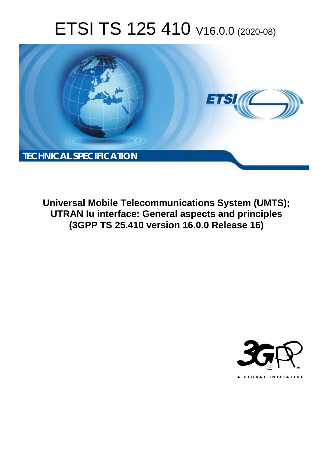# ETSI TS 125 410 V16.0.0 (2020-08)



**Universal Mobile Telecommunications System (UMTS); UTRAN Iu interface: General aspects and principles (3GPP TS 25.410 version 16.0.0 Release 16)** 

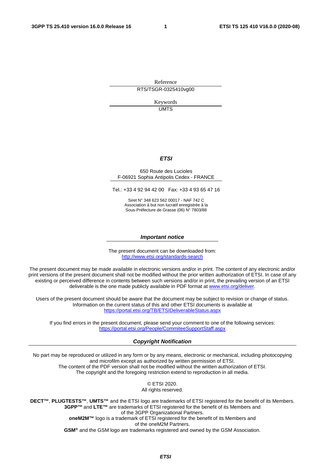Reference RTS/TSGR-0325410vg00

> Keywords **UMTS**

#### *ETSI*

#### 650 Route des Lucioles F-06921 Sophia Antipolis Cedex - FRANCE

Tel.: +33 4 92 94 42 00 Fax: +33 4 93 65 47 16

Siret N° 348 623 562 00017 - NAF 742 C Association à but non lucratif enregistrée à la Sous-Préfecture de Grasse (06) N° 7803/88

#### *Important notice*

The present document can be downloaded from: <http://www.etsi.org/standards-search>

The present document may be made available in electronic versions and/or in print. The content of any electronic and/or print versions of the present document shall not be modified without the prior written authorization of ETSI. In case of any existing or perceived difference in contents between such versions and/or in print, the prevailing version of an ETSI deliverable is the one made publicly available in PDF format at [www.etsi.org/deliver](http://www.etsi.org/deliver).

Users of the present document should be aware that the document may be subject to revision or change of status. Information on the current status of this and other ETSI documents is available at <https://portal.etsi.org/TB/ETSIDeliverableStatus.aspx>

If you find errors in the present document, please send your comment to one of the following services: <https://portal.etsi.org/People/CommiteeSupportStaff.aspx>

#### *Copyright Notification*

No part may be reproduced or utilized in any form or by any means, electronic or mechanical, including photocopying and microfilm except as authorized by written permission of ETSI. The content of the PDF version shall not be modified without the written authorization of ETSI. The copyright and the foregoing restriction extend to reproduction in all media.

> © ETSI 2020. All rights reserved.

**DECT™**, **PLUGTESTS™**, **UMTS™** and the ETSI logo are trademarks of ETSI registered for the benefit of its Members. **3GPP™** and **LTE™** are trademarks of ETSI registered for the benefit of its Members and of the 3GPP Organizational Partners. **oneM2M™** logo is a trademark of ETSI registered for the benefit of its Members and of the oneM2M Partners. **GSM®** and the GSM logo are trademarks registered and owned by the GSM Association.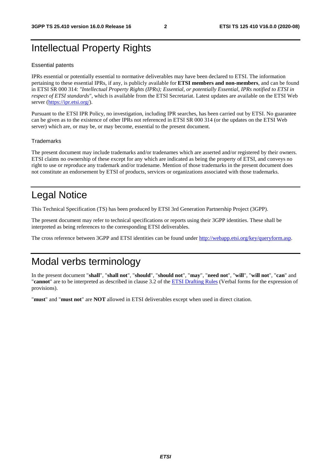## Intellectual Property Rights

#### Essential patents

IPRs essential or potentially essential to normative deliverables may have been declared to ETSI. The information pertaining to these essential IPRs, if any, is publicly available for **ETSI members and non-members**, and can be found in ETSI SR 000 314: *"Intellectual Property Rights (IPRs); Essential, or potentially Essential, IPRs notified to ETSI in respect of ETSI standards"*, which is available from the ETSI Secretariat. Latest updates are available on the ETSI Web server [\(https://ipr.etsi.org/](https://ipr.etsi.org/)).

Pursuant to the ETSI IPR Policy, no investigation, including IPR searches, has been carried out by ETSI. No guarantee can be given as to the existence of other IPRs not referenced in ETSI SR 000 314 (or the updates on the ETSI Web server) which are, or may be, or may become, essential to the present document.

#### **Trademarks**

The present document may include trademarks and/or tradenames which are asserted and/or registered by their owners. ETSI claims no ownership of these except for any which are indicated as being the property of ETSI, and conveys no right to use or reproduce any trademark and/or tradename. Mention of those trademarks in the present document does not constitute an endorsement by ETSI of products, services or organizations associated with those trademarks.

## Legal Notice

This Technical Specification (TS) has been produced by ETSI 3rd Generation Partnership Project (3GPP).

The present document may refer to technical specifications or reports using their 3GPP identities. These shall be interpreted as being references to the corresponding ETSI deliverables.

The cross reference between 3GPP and ETSI identities can be found under<http://webapp.etsi.org/key/queryform.asp>.

## Modal verbs terminology

In the present document "**shall**", "**shall not**", "**should**", "**should not**", "**may**", "**need not**", "**will**", "**will not**", "**can**" and "**cannot**" are to be interpreted as described in clause 3.2 of the [ETSI Drafting Rules](https://portal.etsi.org/Services/editHelp!/Howtostart/ETSIDraftingRules.aspx) (Verbal forms for the expression of provisions).

"**must**" and "**must not**" are **NOT** allowed in ETSI deliverables except when used in direct citation.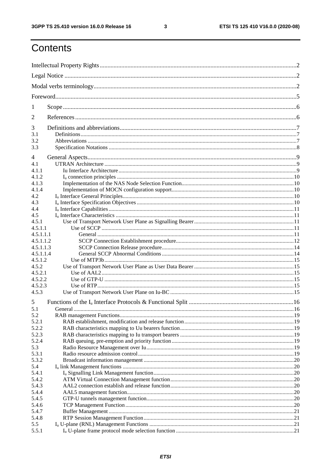$\mathbf{3}$ 

## Contents

| 1                    |         |  |  |  |  |  |  |  |
|----------------------|---------|--|--|--|--|--|--|--|
| 2                    |         |  |  |  |  |  |  |  |
| 3                    |         |  |  |  |  |  |  |  |
| 3.1                  |         |  |  |  |  |  |  |  |
| 3.2<br>3.3           |         |  |  |  |  |  |  |  |
|                      |         |  |  |  |  |  |  |  |
| 4                    |         |  |  |  |  |  |  |  |
| 4.1                  |         |  |  |  |  |  |  |  |
| 4.1.1                |         |  |  |  |  |  |  |  |
| 4.1.2                |         |  |  |  |  |  |  |  |
| 4.1.3                |         |  |  |  |  |  |  |  |
| 4.1.4                |         |  |  |  |  |  |  |  |
| 4.2                  |         |  |  |  |  |  |  |  |
| 4.3                  |         |  |  |  |  |  |  |  |
| 4.4                  |         |  |  |  |  |  |  |  |
| 4.5                  |         |  |  |  |  |  |  |  |
| 4.5.1                |         |  |  |  |  |  |  |  |
| 4.5.1.1<br>4.5.1.1.1 |         |  |  |  |  |  |  |  |
| 4.5.1.1.2            |         |  |  |  |  |  |  |  |
| 4.5.1.1.3            |         |  |  |  |  |  |  |  |
| 4.5.1.1.4            |         |  |  |  |  |  |  |  |
| 4.5.1.2              |         |  |  |  |  |  |  |  |
| 4.5.2                |         |  |  |  |  |  |  |  |
| 4.5.2.1              |         |  |  |  |  |  |  |  |
| 4.5.2.2              |         |  |  |  |  |  |  |  |
| 4.5.2.3              |         |  |  |  |  |  |  |  |
| 4.5.3                |         |  |  |  |  |  |  |  |
| 5                    |         |  |  |  |  |  |  |  |
| 5.1                  | General |  |  |  |  |  |  |  |
| 5.2                  |         |  |  |  |  |  |  |  |
| 5.2.1                |         |  |  |  |  |  |  |  |
| 5.2.2                |         |  |  |  |  |  |  |  |
| 5.2.3                |         |  |  |  |  |  |  |  |
| 5.2.4                |         |  |  |  |  |  |  |  |
| 5.3<br>5.3.1         |         |  |  |  |  |  |  |  |
| 5.3.2                |         |  |  |  |  |  |  |  |
| 5.4                  |         |  |  |  |  |  |  |  |
| 5.4.1                |         |  |  |  |  |  |  |  |
| 5.4.2                |         |  |  |  |  |  |  |  |
| 5.4.3                |         |  |  |  |  |  |  |  |
| 5.4.4                |         |  |  |  |  |  |  |  |
| 5.4.5                |         |  |  |  |  |  |  |  |
| 5.4.6                |         |  |  |  |  |  |  |  |
| 5.4.7                |         |  |  |  |  |  |  |  |
| 5.4.8                |         |  |  |  |  |  |  |  |
| 5.5                  |         |  |  |  |  |  |  |  |
| 5.5.1                |         |  |  |  |  |  |  |  |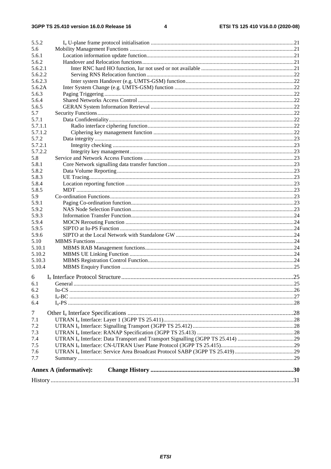|                | <b>Annex A (informative):</b> |  |
|----------------|-------------------------------|--|
|                |                               |  |
| 7.7            |                               |  |
| 7.6            |                               |  |
| 7.5            |                               |  |
| 7.4            |                               |  |
| 7.3            |                               |  |
| 7.2            |                               |  |
| 7.1            |                               |  |
| $\overline{7}$ |                               |  |
|                |                               |  |
| 6.4            |                               |  |
| 6.3            |                               |  |
| 6.2            |                               |  |
| 6.1            |                               |  |
| 6              |                               |  |
| 5.10.4         |                               |  |
| 5.10.3         |                               |  |
|                |                               |  |
| 5.10.2         |                               |  |
| 5.10.1         |                               |  |
| 5.10           |                               |  |
| 5.9.6          |                               |  |
| 5.9.5          |                               |  |
| 5.9.4          |                               |  |
| 5.9.3          |                               |  |
| 5.9.2          |                               |  |
| 5.9.1          |                               |  |
| 5.9            |                               |  |
| 5.8.5          |                               |  |
| 5.8.4          |                               |  |
| 5.8.3          |                               |  |
| 5.8.2          |                               |  |
| 5.8.1          |                               |  |
| 5.8            |                               |  |
| 5.7.2.2        |                               |  |
| 5.7.2.1        |                               |  |
| 5.7.2          |                               |  |
| 5.7.1.2        |                               |  |
| 5.7.1.1        |                               |  |
| 5.7.1          |                               |  |
| 5.7            |                               |  |
| 5.6.5          |                               |  |
| 5.6.4          |                               |  |
| 5.6.3          |                               |  |
| 5.6.2A         |                               |  |
| 5.6.2.3        |                               |  |
| 5.6.2.2        |                               |  |
| 5.6.2.1        |                               |  |
| 5.6.2          |                               |  |
| 5.6.1          |                               |  |
| 5.6            |                               |  |
| 5.5.2          |                               |  |
|                |                               |  |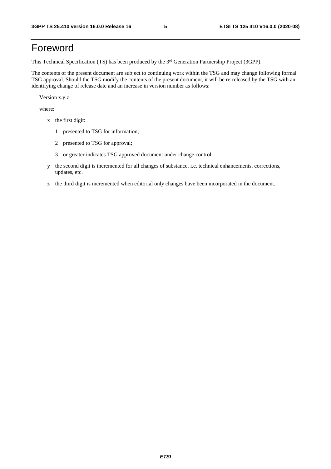## Foreword

This Technical Specification (TS) has been produced by the 3<sup>rd</sup> Generation Partnership Project (3GPP).

The contents of the present document are subject to continuing work within the TSG and may change following formal TSG approval. Should the TSG modify the contents of the present document, it will be re-released by the TSG with an identifying change of release date and an increase in version number as follows:

Version x.y.z

where:

- x the first digit:
	- 1 presented to TSG for information;
	- 2 presented to TSG for approval;
	- 3 or greater indicates TSG approved document under change control.
- y the second digit is incremented for all changes of substance, i.e. technical enhancements, corrections, updates, etc.
- z the third digit is incremented when editorial only changes have been incorporated in the document.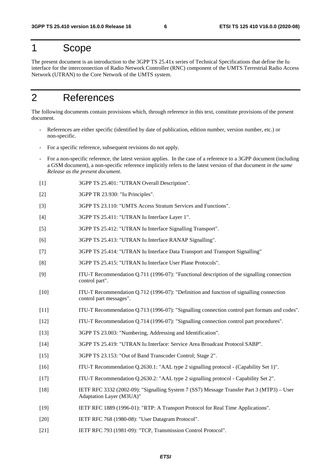## 1 Scope

The present document is an introduction to the 3GPP TS 25.41x series of Technical Specifications that define the Iu interface for the interconnection of Radio Network Controller (RNC) component of the UMTS Terrestrial Radio Access Network (UTRAN) to the Core Network of the UMTS system.

## 2 References

The following documents contain provisions which, through reference in this text, constitute provisions of the present document.

- References are either specific (identified by date of publication, edition number, version number, etc.) or non-specific.
- For a specific reference, subsequent revisions do not apply.
- For a non-specific reference, the latest version applies. In the case of a reference to a 3GPP document (including a GSM document), a non-specific reference implicitly refers to the latest version of that document *in the same Release as the present document*.
- [1] 3GPP TS 25.401: "UTRAN Overall Description".
- [2] 3GPP TR 23.930: "Iu Principles".
- [3] 3GPP TS 23.110: "UMTS Access Stratum Services and Functions".
- [4] 3GPP TS 25.411: "UTRAN Iu Interface Layer 1".
- [5] 3GPP TS 25.412: "UTRAN Iu Interface Signalling Transport".
- [6] 3GPP TS 25.413: "UTRAN Iu Interface RANAP Signalling".
- [7] 3GPP TS 25.414: "UTRAN Iu Interface Data Transport and Transport Signalling"
- [8] 3GPP TS 25.415: "UTRAN Iu Interface User Plane Protocols".
- [9] ITU-T Recommendation Q.711 (1996-07): "Functional description of the signalling connection control part".
- [10] ITU-T Recommendation Q.712 (1996-07): "Definition and function of signalling connection control part messages".
- [11] ITU-T Recommendation Q.713 (1996-07): "Signalling connection control part formats and codes".
- [12] ITU-T Recommendation Q.714 (1996-07): "Signalling connection control part procedures".
- [13] 3GPP TS 23.003: "Numbering, Addressing and Identification".
- [14] 3GPP TS 25.419: "UTRAN Iu Interface: Service Area Broadcast Protocol SABP".
- [15] 3GPP TS 23.153: "Out of Band Transcoder Control; Stage 2".
- [16] ITU-T Recommendation Q.2630.1: "AAL type 2 signalling protocol (Capability Set 1)".
- [17] ITU-T Recommendation Q.2630.2: "AAL type 2 signalling protocol Capability Set 2".
- [18] IETF RFC 3332 (2002-09): "Signalling System 7 (SS7) Message Transfer Part 3 (MTP3) User Adaptation Layer (M3UA)"
- [19] IETF RFC 1889 (1996-01): "RTP: A Transport Protocol for Real Time Applications".
- [20] IETF RFC 768 (1980-08): "User Datagram Protocol".
- [21] IETF RFC 793 (1981-09): "TCP, Transmission Control Protocol".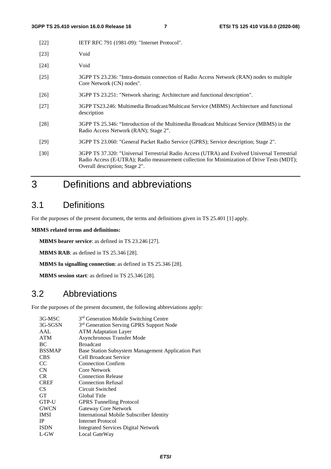| $[22]$ | IETF RFC 791 (1981-09): "Internet Protocol".                                                                                                                                                                                 |
|--------|------------------------------------------------------------------------------------------------------------------------------------------------------------------------------------------------------------------------------|
| $[23]$ | Void                                                                                                                                                                                                                         |
| [24]   | Void                                                                                                                                                                                                                         |
| [25]   | 3GPP TS 23.236: "Intra-domain connection of Radio Access Network (RAN) nodes to multiple<br>Core Network (CN) nodes".                                                                                                        |
| $[26]$ | 3GPP TS 23.251: "Network sharing; Architecture and functional description".                                                                                                                                                  |
| [27]   | 3GPP TS23.246: Multimedia Broadcast/Multicast Service (MBMS) Architecture and functional<br>description                                                                                                                      |
| [28]   | 3GPP TS 25.346: "Introduction of the Multimedia Broadcast Multicast Service (MBMS) in the<br>Radio Access Network (RAN); Stage 2".                                                                                           |
| [29]   | 3GPP TS 23.060: "General Packet Radio Service (GPRS); Service description; Stage 2".                                                                                                                                         |
| $[30]$ | 3GPP TS 37.320: "Universal Terrestrial Radio Access (UTRA) and Evolved Universal Terrestrial<br>Radio Access (E-UTRA); Radio measurement collection for Minimization of Drive Tests (MDT);<br>Overall description; Stage 2". |

## 3 Definitions and abbreviations

### 3.1 Definitions

For the purposes of the present document, the terms and definitions given in TS 25.401 [1] apply.

#### **MBMS related terms and definitions:**

**MBMS bearer service**: as defined in TS 23.246 [27].

**MBMS RAB**: as defined in TS 25.346 [28].

**MBMS Iu signalling connection**: as defined in TS 25.346 [28].

**MBMS session start**: as defined in TS 25.346 [28].

### 3.2 Abbreviations

For the purposes of the present document, the following abbreviations apply:

| 3G-MSC        | 3 <sup>rd</sup> Generation Mobile Switching Centre   |
|---------------|------------------------------------------------------|
| 3G-SGSN       | 3 <sup>rd</sup> Generation Serving GPRS Support Node |
| AAL           | <b>ATM</b> Adaptation Layer                          |
| <b>ATM</b>    | Asynchronous Transfer Mode                           |
| BC            | <b>Broadcast</b>                                     |
| <b>BSSMAP</b> | Base Station Subsystem Management Application Part   |
| <b>CBS</b>    | Cell Broadcast Service                               |
| CC            | <b>Connection Confirm</b>                            |
| CN            | Core Network                                         |
| CR.           | <b>Connection Release</b>                            |
| <b>CREF</b>   | <b>Connection Refusal</b>                            |
| <b>CS</b>     | Circuit Switched                                     |
| <b>GT</b>     | Global Title                                         |
| GTP-U         | <b>GPRS</b> Tunnelling Protocol                      |
| <b>GWCN</b>   | Gateway Core Network                                 |
| <b>IMSI</b>   | International Mobile Subscriber Identity             |
| <b>IP</b>     | Internet Protocol                                    |
| <b>ISDN</b>   | <b>Integrated Services Digital Network</b>           |
| $L$ -GW       | Local GateWay                                        |
|               |                                                      |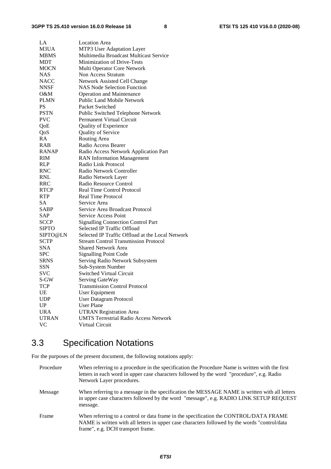| LA           | <b>Location Area</b>                                 |
|--------------|------------------------------------------------------|
| M3UA         | MTP3 User Adaptation Layer                           |
| <b>MBMS</b>  | Multimedia Broadcast Multicast Service               |
| <b>MDT</b>   | <b>Minimization of Drive-Tests</b>                   |
| <b>MOCN</b>  | Multi Operator Core Network                          |
| <b>NAS</b>   | Non Access Stratum                                   |
| NACC         | Network Assisted Cell Change                         |
| <b>NNSF</b>  | <b>NAS Node Selection Function</b>                   |
| O&M          | <b>Operation and Maintenance</b>                     |
| <b>PLMN</b>  | <b>Public Land Mobile Network</b>                    |
| PS           | Packet Switched                                      |
| <b>PSTN</b>  | Public Switched Telephone Network                    |
| <b>PVC</b>   | <b>Permanent Virtual Circuit</b>                     |
| QoE          | Quality of Experience                                |
| QoS          | Quality of Service                                   |
| RA           | Routing Area                                         |
| <b>RAB</b>   | Radio Access Bearer                                  |
| <b>RANAP</b> | Radio Access Network Application Part                |
| <b>RIM</b>   | <b>RAN</b> Information Management                    |
| RLP          | Radio Link Protocol                                  |
| RNC          | Radio Network Controller                             |
| RNL          | Radio Network Layer                                  |
| <b>RRC</b>   | Radio Resource Control                               |
| <b>RTCP</b>  | <b>Real Time Control Protocol</b>                    |
| RTP          | <b>Real Time Protocol</b>                            |
| <b>SA</b>    | Service Area                                         |
| SABP         | Service Area Broadcast Protocol                      |
| SAP          | Service Access Point                                 |
| <b>SCCP</b>  | <b>Signalling Connection Control Part</b>            |
| SIPTO        | Selected IP Traffic Offload                          |
| SIPTO@LN     | Selected IP Traffic Offload at the Local Network     |
| <b>SCTP</b>  | <b>Stream Control Transmission Protocol</b>          |
| <b>SNA</b>   | Shared Network Area                                  |
| <b>SPC</b>   | <b>Signalling Point Code</b>                         |
| <b>SRNS</b>  |                                                      |
|              | Serving Radio Network Subsystem<br>Sub-System Number |
| <b>SSN</b>   |                                                      |
| <b>SVC</b>   | Switched Virtual Circuit                             |
| S-GW         | Serving GateWay                                      |
| <b>TCP</b>   | <b>Transmission Control Protocol</b>                 |
| UE           | <b>User Equipment</b>                                |
| <b>UDP</b>   | User Datagram Protocol                               |
| UP           | <b>User Plane</b>                                    |
| <b>URA</b>   | <b>UTRAN Registration Area</b>                       |
| <b>UTRAN</b> | <b>UMTS Terrestrial Radio Access Network</b>         |
| VC           | Virtual Circuit                                      |

## 3.3 Specification Notations

For the purposes of the present document, the following notations apply:

| Procedure | When referring to a procedure in the specification the Procedure Name is written with the first<br>letters in each word in upper case characters followed by the word "procedure", e.g. Radio<br>Network Layer procedures.   |
|-----------|------------------------------------------------------------------------------------------------------------------------------------------------------------------------------------------------------------------------------|
| Message   | When referring to a message in the specification the MESSAGE NAME is written with all letters<br>in upper case characters followed by the word "message", e.g. RADIO LINK SETUP REQUEST<br>message.                          |
| Frame     | When referring to a control or data frame in the specification the CONTROL/DATA FRAME<br>NAME is written with all letters in upper case characters followed by the words "control/data"<br>frame", e.g. DCH transport frame. |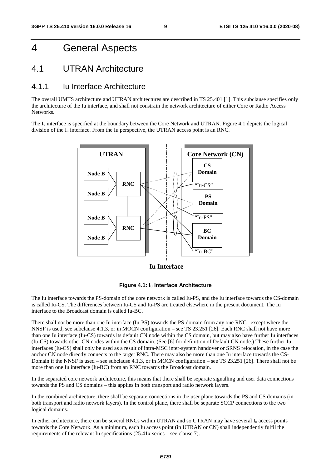## 4 General Aspects

### 4.1 UTRAN Architecture

#### 4.1.1 Iu Interface Architecture

The overall UMTS architecture and UTRAN architectures are described in TS 25.401 [1]. This subclause specifies only the architecture of the Iu interface, and shall not constrain the network architecture of either Core or Radio Access Networks.

The I<sub>u</sub> interface is specified at the boundary between the Core Network and UTRAN. Figure 4.1 depicts the logical division of the  $I_u$  interface. From the Iu perspective, the UTRAN access point is an RNC.



**Iu Interface**



The Iu interface towards the PS-domain of the core network is called Iu-PS, and the Iu interface towards the CS-domain is called Iu-CS. The differences between Iu-CS and Iu-PS are treated elsewhere in the present document. The Iu interface to the Broadcast domain is called Iu-BC.

There shall not be more than one Iu interface (Iu-PS) towards the PS-domain from any one RNC– except where the NNSF is used, see subclause 4.1.3, or in MOCN configuration – see TS 23.251 [26]. Each RNC shall not have more than one Iu interface (Iu-CS) towards its default CN node within the CS domain, but may also have further Iu interfaces (Iu-CS) towards other CN nodes within the CS domain. (See [6] for definition of Default CN node.) These further Iu interfaces (Iu-CS) shall only be used as a result of intra-MSC inter-system handover or SRNS relocation, in the case the anchor CN node directly connects to the target RNC. There may also be more than one Iu interface towards the CS-Domain if the NNSF is used – see subclause 4.1.3, or in MOCN configuration – see TS 23.251 [26]. There shall not be more than one Iu interface (Iu-BC) from an RNC towards the Broadcast domain.

In the separated core network architecture, this means that there shall be separate signalling and user data connections towards the PS and CS domains – this applies in both transport and radio network layers.

In the combined architecture, there shall be separate connections in the user plane towards the PS and CS domains (in both transport and radio network layers). In the control plane, there shall be separate SCCP connections to the two logical domains.

In either architecture, there can be several RNCs within UTRAN and so UTRAN may have several Iu access points towards the Core Network. As a minimum, each Iu access point (in UTRAN or CN) shall independently fulfil the requirements of the relevant Iu specifications (25.41x series – see clause 7).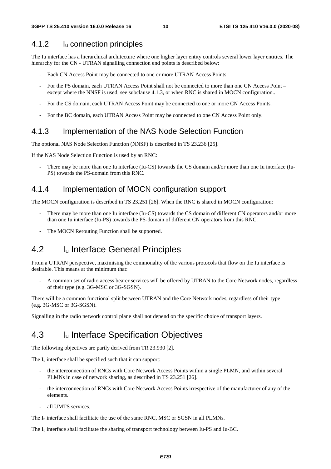#### 4.1.2 Iu connection principles

The Iu interface has a hierarchical architecture where one higher layer entity controls several lower layer entities. The hierarchy for the CN - UTRAN signalling connection end points is described below:

- Each CN Access Point may be connected to one or more UTRAN Access Points.
- For the PS domain, each UTRAN Access Point shall not be connected to more than one CN Access Point except where the NNSF is used, see subclause 4.1.3, or when RNC is shared in MOCN configuration..
- For the CS domain, each UTRAN Access Point may be connected to one or more CN Access Points.
- For the BC domain, each UTRAN Access Point may be connected to one CN Access Point only.

#### 4.1.3 Implementation of the NAS Node Selection Function

The optional NAS Node Selection Function (NNSF) is described in TS 23.236 [25].

If the NAS Node Selection Function is used by an RNC:

There may be more than one Iu interface (Iu-CS) towards the CS domain and/or more than one Iu interface (Iu-PS) towards the PS-domain from this RNC.

#### 4.1.4 Implementation of MOCN configuration support

The MOCN configuration is described in TS 23.251 [26]. When the RNC is shared in MOCN configuration:

- There may be more than one Iu interface (Iu-CS) towards the CS domain of different CN operators and/or more than one Iu interface (Iu-PS) towards the PS-domain of different CN operators from this RNC.
- The MOCN Rerouting Function shall be supported.

### 4.2 I<sub>u</sub> Interface General Principles

From a UTRAN perspective, maximising the commonality of the various protocols that flow on the Iu interface is desirable. This means at the minimum that:

- A common set of radio access bearer services will be offered by UTRAN to the Core Network nodes, regardless of their type (e.g. 3G-MSC or 3G-SGSN).

There will be a common functional split between UTRAN and the Core Network nodes, regardless of their type (e.g. 3G-MSC or 3G-SGSN).

Signalling in the radio network control plane shall not depend on the specific choice of transport layers.

### 4.3 I<sub>u</sub> Interface Specification Objectives

The following objectives are partly derived from TR 23.930 [2].

The  $I_u$  interface shall be specified such that it can support:

- the interconnection of RNCs with Core Network Access Points within a single PLMN, and within several PLMNs in case of network sharing, as described in TS 23.251 [26].
- the interconnection of RNCs with Core Network Access Points irrespective of the manufacturer of any of the elements.
- all UMTS services.

The  $I_{\text{u}}$  interface shall facilitate the use of the same RNC, MSC or SGSN in all PLMNs.

The Iu interface shall facilitate the sharing of transport technology between Iu-PS and Iu-BC.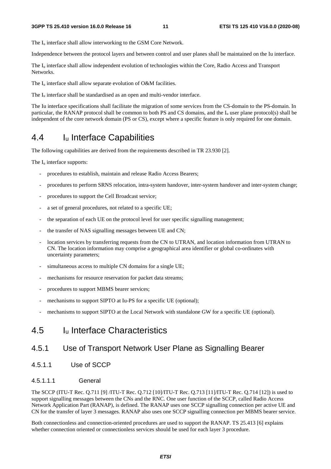The  $I_u$  interface shall allow interworking to the GSM Core Network.

Independence between the protocol layers and between control and user planes shall be maintained on the Iu interface.

The I<sub>u</sub> interface shall allow independent evolution of technologies within the Core, Radio Access and Transport Networks.

The  $I_u$  interface shall allow separate evolution of O&M facilities.

The  $I_{\rm u}$  interface shall be standardised as an open and multi-vendor interface.

The Iu interface specifications shall facilitate the migration of some services from the CS-domain to the PS-domain. In particular, the RANAP protocol shall be common to both PS and CS domains, and the I<sub>u</sub> user plane protocol(s) shall be independent of the core network domain (PS or CS), except where a specific feature is only required for one domain.

## 4.4 Iu Interface Capabilities

The following capabilities are derived from the requirements described in TR 23.930 [2].

The  $I_u$  interface supports:

- procedures to establish, maintain and release Radio Access Bearers;
- procedures to perform SRNS relocation, intra-system handover, inter-system handover and inter-system change;
- procedures to support the Cell Broadcast service;
- a set of general procedures, not related to a specific UE;
- the separation of each UE on the protocol level for user specific signalling management;
- the transfer of NAS signalling messages between UE and CN;
- location services by transferring requests from the CN to UTRAN, and location information from UTRAN to CN. The location information may comprise a geographical area identifier or global co-ordinates with uncertainty parameters;
- simultaneous access to multiple CN domains for a single UE;
- mechanisms for resource reservation for packet data streams;
- procedures to support MBMS bearer services;
- mechanisms to support SIPTO at Iu-PS for a specific UE (optional);
- mechanisms to support SIPTO at the Local Network with standalone GW for a specific UE (optional).

### 4.5 Iu Interface Characteristics

#### 4.5.1 Use of Transport Network User Plane as Signalling Bearer

4.5.1.1 Use of SCCP

#### 4.5.1.1.1 General

The SCCP (ITU-T Rec. Q.711 [9] /ITU-T Rec. Q.712 [10]/ITU-T Rec. Q.713 [11]/ITU-T Rec. Q.714 [12]) is used to support signalling messages between the CNs and the RNC. One user function of the SCCP, called Radio Access Network Application Part (RANAP), is defined. The RANAP uses one SCCP signalling connection per active UE and CN for the transfer of layer 3 messages. RANAP also uses one SCCP signalling connection per MBMS bearer service.

Both connectionless and connection-oriented procedures are used to support the RANAP. TS 25.413 [6] explains whether connection oriented or connectionless services should be used for each layer 3 procedure.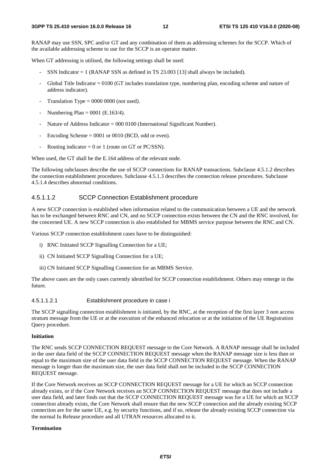RANAP may use SSN, SPC and/or GT and any combination of them as addressing schemes for the SCCP. Which of the available addressing scheme to use for the SCCP is an operator matter.

When GT addressing is utilised, the following settings shall be used:

- SSN Indicator  $= 1$  (RANAP SSN as defined in TS 23.003 [13] shall always be included).
- Global Title Indicator  $= 0100$  (GT includes translation type, numbering plan, encoding scheme and nature of address indicator).
- Translation Type  $= 0000 0000$  (not used).
- Numbering Plan =  $0001$  (E.163/4).
- Nature of Address Indicator =  $000\,0100$  (International Significant Number).
- Encoding Scheme  $= 0001$  or 0010 (BCD, odd or even).
- Routing indicator =  $0$  or 1 (route on GT or PC/SSN).

When used, the GT shall be the E.164 address of the relevant node.

The following subclauses describe the use of SCCP connections for RANAP transactions. Subclause 4.5.1.2 describes the connection establishment procedures. Subclause 4.5.1.3 describes the connection release procedures. Subclause 4.5.1.4 describes abnormal conditions.

#### 4.5.1.1.2 SCCP Connection Establishment procedure

A new SCCP connection is established when information related to the communication between a UE and the network has to be exchanged between RNC and CN, and no SCCP connection exists between the CN and the RNC involved, for the concerned UE. A new SCCP connection is also established for MBMS service purpose between the RNC and CN.

Various SCCP connection establishment cases have to be distinguished:

- i) RNC Initiated SCCP Signalling Connection for a UE;
- ii) CN Initiated SCCP Signalling Connection for a UE;
- iii) CN Initiated SCCP Signalling Connection for an MBMS Service.

The above cases are the only cases currently identified for SCCP connection establishment. Others may emerge in the future.

#### 4.5.1.1.2.1 Establishment procedure in case i

The SCCP signalling connection establishment is initiated, by the RNC, at the reception of the first layer 3 non access stratum message from the UE or at the execution of the enhanced relocation or at the initiation of the UE Registration Query procedure.

#### **Initiation**

The RNC sends SCCP CONNECTION REQUEST message to the Core Network. A RANAP message shall be included in the user data field of the SCCP CONNECTION REQUEST message when the RANAP message size is less than or equal to the maximum size of the user data field in the SCCP CONNECTION REQUEST message. When the RANAP message is longer than the maximum size, the user data field shall not be included in the SCCP CONNECTION REQUEST message.

If the Core Network receives an SCCP CONNECTION REQUEST message for a UE for which an SCCP connection already exists, or if the Core Network receives an SCCP CONNECTION REQUEST message that does not include a user data field, and later finds out that the SCCP CONNECTION REQUEST message was for a UE for which an SCCP connection already exists, the Core Network shall ensure that the new SCCP connection and the already existing SCCP connection are for the same UE, e.g. by security functions, and if so, release the already existing SCCP connection via the normal Iu Release procedure and all UTRAN resources allocated to it.

#### **Termination**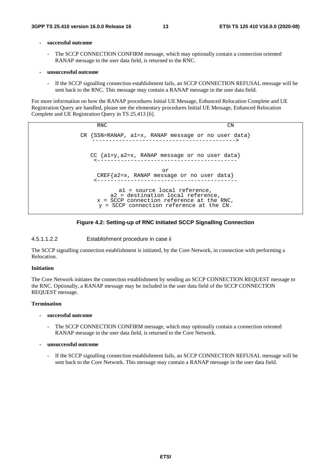#### **- successful outcome**

- The SCCP CONNECTION CONFIRM message, which may optionally contain a connection oriented RANAP message in the user data field, is returned to the RNC.
- **unsuccessful outcome** 
	- If the SCCP signalling connection establishment fails, an SCCP CONNECTION REFUSAL message will be sent back to the RNC. This message may contain a RANAP message in the user data field.

For more information on how the RANAP procedures Initial UE Message, Enhanced Relocation Complete and UE Registration Query are handled, please see the elementary procedures Initial UE Message, Enhanced Relocation Complete and UE Registration Query in TS 25.413 [6].

> RNC CN CR {SSN=RANAP, a1=x, RANAP message or no user data} -------------------------------------------> CC {a1=y,a2=x, RANAP message or no user data} <----------------------------------------- or  $CREF{a2=x, RANAP message or no user data}$ <----------------------------------------- a1 = source local reference, a2 = destination local reference, x = SCCP connection reference at the RNC, y = SCCP connection reference at the CN.



#### 4.5.1.1.2.2 Establishment procedure in case ii

The SCCP signalling connection establishment is initiated, by the Core Network, in connection with performing a Relocation.

#### **Initiation**

The Core Network initiates the connection establishment by sending an SCCP CONNECTION REQUEST message to the RNC. Optionally, a RANAP message may be included in the user data field of the SCCP CONNECTION REQUEST message.

#### **Termination**

- **successful outcome** 
	- The SCCP CONNECTION CONFIRM message, which may optionally contain a connection oriented RANAP message in the user data field, is returned to the Core Network.
- **unsuccessful outcome** 
	- If the SCCP signalling connection establishment fails, an SCCP CONNECTION REFUSAL message will be sent back to the Core Network. This message may contain a RANAP message in the user data field.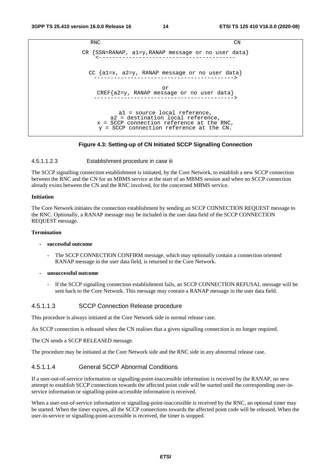```
RNC CN
CR {SSN=RANAP, a1=y,RANAP message or no user data} 
    <----------------------------------------- 
 CC {a1=x, a2=y, RANAP message or no user data} 
   ------------------------------------------> 
                      or 
    CREF{a2=y, RANAP message or no user data} 
   ------------------------------------------> 
          a1 = source local reference, 
        a2 = destination local reference, 
    x = SCCP connection reference at the RNC, 
    y = SCCP connection reference at the CN.
```
#### **Figure 4.3: Setting-up of CN Initiated SCCP Signalling Connection**

#### 4.5.1.1.2.3 Establishment procedure in case iii

The SCCP signalling connection establishment is initiated, by the Core Network, to establish a new SCCP connection between the RNC and the CN for an MBMS service at the start of an MBMS session and when no SCCP connection already exists between the CN and the RNC involved, for the concerned MBMS service.

#### **Initiation**

The Core Network initiates the connection establishment by sending an SCCP CONNECTION REQUEST message to the RNC. Optionally, a RANAP message may be included in the user data field of the SCCP CONNECTION REQUEST message.

#### **Termination**

#### **- successful outcome**

- The SCCP CONNECTION CONFIRM message, which may optionally contain a connection oriented RANAP message in the user data field, is returned to the Core Network.
- **unsuccessful outcome** 
	- If the SCCP signalling connection establishment fails, an SCCP CONNECTION REFUSAL message will be sent back to the Core Network. This message may contain a RANAP message in the user data field.

#### 4.5.1.1.3 SCCP Connection Release procedure

This procedure is always initiated at the Core Network side in normal release case.

An SCCP connection is released when the CN realises that a given signalling connection is no longer required.

The CN sends a SCCP RELEASED message.

The procedure may be initiated at the Core Network side and the RNC side in any abnormal release case.

#### 4.5.1.1.4 General SCCP Abnormal Conditions

If a user-out-of-service information or signalling-point-inaccessible information is received by the RANAP, no new attempt to establish SCCP connections towards the affected point code will be started until the corresponding user-inservice information or signalling-point-accessible information is received.

When a user-out-of-service information or signalling-point-inaccessible is received by the RNC, an optional timer may be started. When the timer expires, all the SCCP connections towards the affected point code will be released. When the user-in-service or signalling-point-accessible is received, the timer is stopped.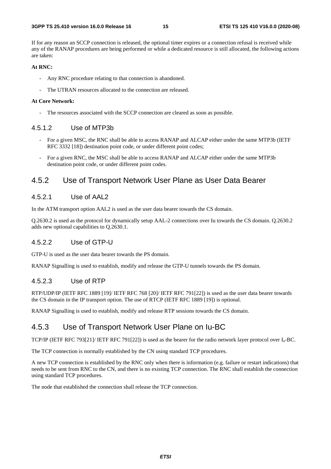If for any reason an SCCP connection is released, the optional timer expires or a connection refusal is received while any of the RANAP procedures are being performed or while a dedicated resource is still allocated, the following actions are taken:

#### **At RNC:**

- Any RNC procedure relating to that connection is abandoned.
- The UTRAN resources allocated to the connection are released.

#### **At Core Network:**

The resources associated with the SCCP connection are cleared as soon as possible.

#### 4.5.1.2 Use of MTP3b

- For a given MSC, the RNC shall be able to access RANAP and ALCAP either under the same MTP3b (IETF RFC 3332 [18]) destination point code, or under different point codes;
- For a given RNC, the MSC shall be able to access RANAP and ALCAP either under the same MTP3b destination point code, or under different point codes.

#### 4.5.2 Use of Transport Network User Plane as User Data Bearer

#### 4.5.2.1 Use of AAL2

In the ATM transport option AAL2 is used as the user data bearer towards the CS domain.

Q.2630.2 is used as the protocol for dynamically setup AAL-2 connections over Iu towards the CS domain. Q.2630.2 adds new optional capabilities to Q.2630.1.

#### 4.5.2.2 Use of GTP-U

GTP-U is used as the user data bearer towards the PS domain.

RANAP Signalling is used to establish, modify and release the GTP-U tunnels towards the PS domain.

#### 4.5.2.3 Use of RTP

RTP/UDP/IP (IETF RFC 1889 [19]/ IETF RFC 768 [20]/ IETF RFC 791[22]) is used as the user data bearer towards the CS domain in the IP transport option. The use of RTCP (IETF RFC 1889 [19]) is optional.

RANAP Signalling is used to establish, modify and release RTP sessions towards the CS domain.

#### 4.5.3 Use of Transport Network User Plane on Iu-BC

TCP/IP (IETF RFC 793[21]/ IETF RFC 791[22]) is used as the bearer for the radio network layer protocol over Iu-BC.

The TCP connection is normally established by the CN using standard TCP procedures.

A new TCP connection is established by the RNC only when there is information (e.g. failure or restart indications) that needs to be sent from RNC to the CN, and there is no existing TCP connection. The RNC shall establish the connection using standard TCP procedures.

The node that established the connection shall release the TCP connection.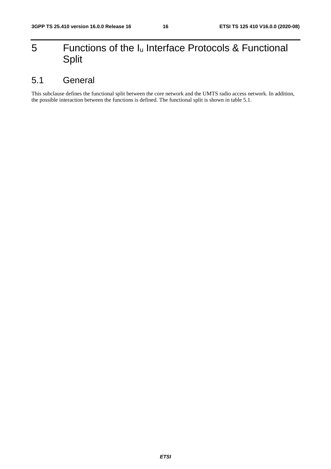## 5 Functions of the Iu Interface Protocols & Functional Split

### 5.1 General

This subclause defines the functional split between the core network and the UMTS radio access network. In addition, the possible interaction between the functions is defined. The functional split is shown in table 5.1.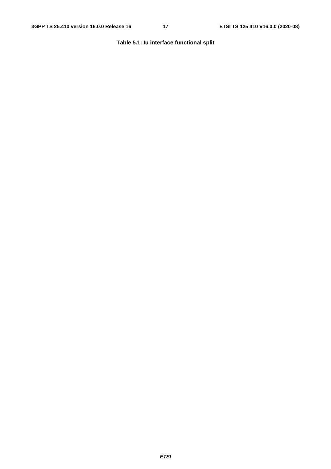#### **Table 5.1: Iu interface functional split**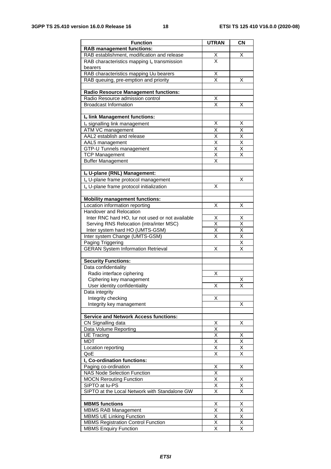| <b>Function</b>                                      | <b>UTRAN</b>            | <b>CN</b>               |
|------------------------------------------------------|-------------------------|-------------------------|
| <b>RAB management functions:</b>                     |                         |                         |
| RAB establishment, modification and release          | $\overline{\mathsf{X}}$ | х                       |
| RAB characteristics mapping lu transmission          | X                       |                         |
| bearers                                              |                         |                         |
| RAB characteristics mapping Uu bearers               | X                       |                         |
| RAB queuing, pre-emption and priority                | $\overline{\mathsf{x}}$ | Χ                       |
|                                                      |                         |                         |
| <b>Radio Resource Management functions:</b>          |                         |                         |
| Radio Resource admission control                     | X                       |                         |
| <b>Broadcast Information</b>                         | $\overline{\mathsf{x}}$ | Χ                       |
|                                                      |                         |                         |
| Iu link Management functions:                        |                         |                         |
| Iu signalling link management                        | X                       | X                       |
| ATM VC management                                    | X                       | X                       |
| AAL2 establish and release                           | X                       | Χ                       |
| AAL5 management                                      | $\overline{\mathsf{x}}$ | Χ                       |
| GTP-U Tunnels management                             | $\overline{\mathsf{x}}$ | $\overline{\mathsf{x}}$ |
| <b>TCP Management</b>                                | $\overline{\mathsf{x}}$ | X                       |
| <b>Buffer Management</b>                             | $\overline{\mathsf{x}}$ |                         |
|                                                      |                         |                         |
| Iu U-plane (RNL) Management:                         |                         |                         |
| Iu U-plane frame protocol management                 |                         | х                       |
| I <sub>u</sub> U-plane frame protocol initialization | Χ                       |                         |
|                                                      |                         |                         |
| <b>Mobility management functions:</b>                |                         |                         |
| Location information reporting                       | Χ                       | х                       |
| Handover and Relocation                              |                         |                         |
| Inter RNC hard HO, lur not used or not available     | х                       | х                       |
| Serving RNS Relocation (intra/inter MSC)             | X                       | X                       |
| Inter system hard HO (UMTS-GSM)                      | X                       | $\overline{X}$          |
| Inter system Change (UMTS-GSM)                       | $\overline{\mathsf{x}}$ | $\overline{\mathsf{x}}$ |
| Paging Triggering                                    |                         | $\overline{\mathsf{X}}$ |
| <b>GERAN System Information Retrieval</b>            | Χ                       | $\overline{\mathsf{x}}$ |
|                                                      |                         |                         |
| <b>Security Functions:</b>                           |                         |                         |
| Data confidentiality                                 |                         |                         |
| Radio interface ciphering                            | Χ                       |                         |
| Ciphering key management                             |                         | х                       |
| User identity confidentiality                        | Х                       | Χ                       |
| Data integrity                                       | х                       |                         |
| Integrity checking<br>Integrity key management       |                         |                         |
|                                                      |                         | х                       |
| <b>Service and Network Access functions:</b>         |                         |                         |
| CN Signalling data                                   | х                       | X                       |
| Data Volume Reporting                                | $\overline{\mathsf{x}}$ |                         |
| <b>UE Tracing</b>                                    | X                       | Х                       |
| MDT                                                  | $\overline{\mathsf{x}}$ | $\overline{\mathsf{x}}$ |
| Location reporting                                   | Χ                       | Χ                       |
| QoE                                                  | $\overline{\mathsf{x}}$ | $\overline{\mathsf{x}}$ |
| I <sub>u</sub> Co-ordination functions:              |                         |                         |
| Paging co-ordination                                 | X                       | Χ                       |
| <b>NAS Node Selection Function</b>                   | Χ                       |                         |
| <b>MOCN Rerouting Function</b>                       | $\overline{\mathsf{x}}$ | Χ                       |
| SIPTO at lu-PS                                       | X                       | Χ                       |
| SIPTO at the Local Network with Standalone GW        | $\overline{\mathsf{x}}$ | $\overline{\mathsf{x}}$ |
|                                                      |                         |                         |
| <b>MBMS functions</b>                                | X                       | X                       |
| <b>MBMS RAB Management</b>                           | $\overline{\mathsf{x}}$ | $\overline{\mathsf{x}}$ |
| <b>MBMS UE Linking Function</b>                      | $\times$                | Χ                       |
| <b>MBMS Registration Control Function</b>            | $\overline{\mathsf{x}}$ | $\overline{\mathsf{x}}$ |
| <b>MBMS Enquiry Function</b>                         | $\overline{\mathsf{x}}$ | X                       |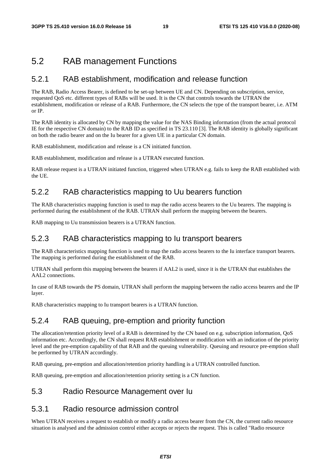### 5.2 RAB management Functions

#### 5.2.1 RAB establishment, modification and release function

The RAB, Radio Access Bearer, is defined to be set-up between UE and CN. Depending on subscription, service, requested QoS etc. different types of RABs will be used. It is the CN that controls towards the UTRAN the establishment, modification or release of a RAB. Furthermore, the CN selects the type of the transport bearer, i.e. ATM or IP.

The RAB identity is allocated by CN by mapping the value for the NAS Binding information (from the actual protocol IE for the respective CN domain) to the RAB ID as specified in TS 23.110 [3]. The RAB identity is globally significant on both the radio bearer and on the Iu bearer for a given UE in a particular CN domain.

RAB establishment, modification and release is a CN initiated function.

RAB establishment, modification and release is a UTRAN executed function.

RAB release request is a UTRAN initiated function, triggered when UTRAN e.g. fails to keep the RAB established with the UE.

#### 5.2.2 RAB characteristics mapping to Uu bearers function

The RAB characteristics mapping function is used to map the radio access bearers to the Uu bearers. The mapping is performed during the establishment of the RAB. UTRAN shall perform the mapping between the bearers.

RAB mapping to Uu transmission bearers is a UTRAN function.

#### 5.2.3 RAB characteristics mapping to Iu transport bearers

The RAB characteristics mapping function is used to map the radio access bearers to the Iu interface transport bearers. The mapping is performed during the establishment of the RAB.

UTRAN shall perform this mapping between the bearers if AAL2 is used, since it is the UTRAN that establishes the AAL2 connections.

In case of RAB towards the PS domain, UTRAN shall perform the mapping between the radio access bearers and the IP layer.

RAB characteristics mapping to Iu transport bearers is a UTRAN function.

#### 5.2.4 RAB queuing, pre-emption and priority function

The allocation/retention priority level of a RAB is determined by the CN based on e.g. subscription information, QoS information etc. Accordingly, the CN shall request RAB establishment or modification with an indication of the priority level and the pre-emption capability of that RAB and the queuing vulnerability. Queuing and resource pre-emption shall be performed by UTRAN accordingly.

RAB queuing, pre-emption and allocation/retention priority handling is a UTRAN controlled function.

RAB queuing, pre-emption and allocation/retention priority setting is a CN function.

#### 5.3 Radio Resource Management over Iu

#### 5.3.1 Radio resource admission control

When UTRAN receives a request to establish or modify a radio access bearer from the CN, the current radio resource situation is analysed and the admission control either accepts or rejects the request. This is called "Radio resource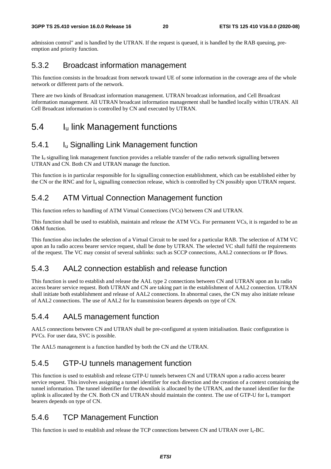admission control" and is handled by the UTRAN. If the request is queued, it is handled by the RAB queuing, preemption and priority function.

#### 5.3.2 Broadcast information management

This function consists in the broadcast from network toward UE of some information in the coverage area of the whole network or different parts of the network.

There are two kinds of Broadcast information management. UTRAN broadcast information, and Cell Broadcast information management. All UTRAN broadcast information management shall be handled locally within UTRAN. All Cell Broadcast information is controlled by CN and executed by UTRAN.

### 5.4 Iu link Management functions

#### 5.4.1 Iu Signalling Link Management function

The Iu signalling link management function provides a reliable transfer of the radio network signalling between UTRAN and CN. Both CN and UTRAN manage the function.

This function is in particular responsible for Iu signalling connection establishment, which can be established either by the CN or the RNC and for  $I_u$  signalling connection release, which is controlled by CN possibly upon UTRAN request.

#### 5.4.2 ATM Virtual Connection Management function

This function refers to handling of ATM Virtual Connections (VCs) between CN and UTRAN.

This function shall be used to establish, maintain and release the ATM VCs. For permanent VCs, it is regarded to be an O&M function.

This function also includes the selection of a Virtual Circuit to be used for a particular RAB. The selection of ATM VC upon an Iu radio access bearer service request, shall be done by UTRAN. The selected VC shall fulfil the requirements of the request. The VC may consist of several sublinks: such as SCCP connections, AAL2 connections or IP flows.

### 5.4.3 AAL2 connection establish and release function

This function is used to establish and release the AAL type 2 connections between CN and UTRAN upon an Iu radio access bearer service request. Both UTRAN and CN are taking part in the establishment of AAL2 connection. UTRAN shall initiate both establishment and release of AAL2 connections. In abnormal cases, the CN may also initiate release of AAL2 connections. The use of AAL2 for Iu transmission bearers depends on type of CN.

#### 5.4.4 AAL5 management function

AAL5 connections between CN and UTRAN shall be pre-configured at system initialisation. Basic configuration is PVCs. For user data, SVC is possible.

The AAL5 management is a function handled by both the CN and the UTRAN.

### 5.4.5 GTP-U tunnels management function

This function is used to establish and release GTP-U tunnels between CN and UTRAN upon a radio access bearer service request. This involves assigning a tunnel identifier for each direction and the creation of a context containing the tunnel information. The tunnel identifier for the downlink is allocated by the UTRAN, and the tunnel identifier for the uplink is allocated by the CN. Both CN and UTRAN should maintain the context. The use of GTP-U for Iu transport bearers depends on type of CN.

### 5.4.6 TCP Management Function

This function is used to establish and release the TCP connections between CN and UTRAN over Iu-BC.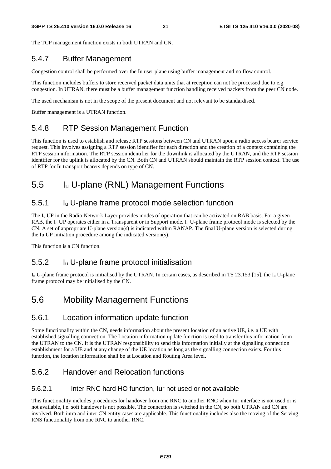The TCP management function exists in both UTRAN and CN.

### 5.4.7 Buffer Management

Congestion control shall be performed over the Iu user plane using buffer management and no flow control.

This function includes buffers to store received packet data units that at reception can not be processed due to e.g. congestion. In UTRAN, there must be a buffer management function handling received packets from the peer CN node.

The used mechanism is not in the scope of the present document and not relevant to be standardised.

Buffer management is a UTRAN function.

### 5.4.8 RTP Session Management Function

This function is used to establish and release RTP sessions between CN and UTRAN upon a radio access bearer service request. This involves assigning a RTP session identifier for each direction and the creation of a context containing the RTP session information. The RTP session identifier for the downlink is allocated by the UTRAN, and the RTP session identifier for the uplink is allocated by the CN. Both CN and UTRAN should maintain the RTP session context. The use of RTP for Iu transport bearers depends on type of CN.

## 5.5 Iu U-plane (RNL) Management Functions

### 5.5.1 Iu U-plane frame protocol mode selection function

The  $I_u$  UP in the Radio Network Layer provides modes of operation that can be activated on RAB basis. For a given RAB, the  $I_{\rm u}$  UP operates either in a Transparent or in Support mode.  $I_{\rm u}$  U-plane frame protocol mode is selected by the CN. A set of appropriate U-plane version(s) is indicated within RANAP. The final U-plane version is selected during the Iu UP initiation procedure among the indicated version(s).

This function is a CN function.

### 5.5.2 Iu U-plane frame protocol initialisation

 $I_{\rm u}$  U-plane frame protocol is initialised by the UTRAN. In certain cases, as described in TS 23.153 [15], the  $I_{\rm u}$  U-plane frame protocol may be initialised by the CN.

## 5.6 Mobility Management Functions

### 5.6.1 Location information update function

Some functionality within the CN, needs information about the present location of an active UE, i.e. a UE with established signalling connection. The Location information update function is used to transfer this information from the UTRAN to the CN. It is the UTRAN responsibility to send this information initially at the signalling connection establishment for a UE and at any change of the UE location as long as the signalling connection exists. For this function, the location information shall be at Location and Routing Area level.

### 5.6.2 Handover and Relocation functions

#### 5.6.2.1 Inter RNC hard HO function, Iur not used or not available

This functionality includes procedures for handover from one RNC to another RNC when Iur interface is not used or is not available, i.e. soft handover is not possible. The connection is switched in the CN, so both UTRAN and CN are involved. Both intra and inter CN entity cases are applicable. This functionality includes also the moving of the Serving RNS functionality from one RNC to another RNC.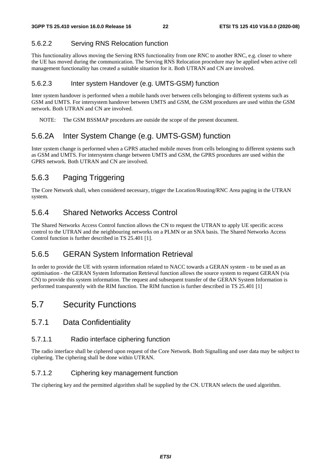#### 5.6.2.2 Serving RNS Relocation function

This functionality allows moving the Serving RNS functionality from one RNC to another RNC, e.g. closer to where the UE has moved during the communication. The Serving RNS Relocation procedure may be applied when active cell management functionality has created a suitable situation for it. Both UTRAN and CN are involved.

#### 5.6.2.3 Inter system Handover (e.g. UMTS-GSM) function

Inter system handover is performed when a mobile hands over between cells belonging to different systems such as GSM and UMTS. For intersystem handover between UMTS and GSM, the GSM procedures are used within the GSM network. Both UTRAN and CN are involved.

NOTE: The GSM BSSMAP procedures are outside the scope of the present document.

### 5.6.2A Inter System Change (e.g. UMTS-GSM) function

Inter system change is performed when a GPRS attached mobile moves from cells belonging to different systems such as GSM and UMTS. For intersystem change between UMTS and GSM, the GPRS procedures are used within the GPRS network. Both UTRAN and CN are involved.

### 5.6.3 Paging Triggering

The Core Network shall, when considered necessary, trigger the Location/Routing/RNC Area paging in the UTRAN system.

### 5.6.4 Shared Networks Access Control

The Shared Networks Access Control function allows the CN to request the UTRAN to apply UE specific access control to the UTRAN and the neighbouring networks on a PLMN or an SNA basis. The Shared Networks Access Control function is further described in TS 25.401 [1].

### 5.6.5 GERAN System Information Retrieval

In order to provide the UE with system information related to NACC towards a GERAN system - to be used as an optimisation - the GERAN System Information Retrieval function allows the source system to request GERAN (via CN) to provide this system information. The request and subsequent transfer of the GERAN System Information is performed transparently with the RIM function. The RIM function is further described in TS 25.401 [1]

### 5.7 Security Functions

#### 5.7.1 Data Confidentiality

#### 5.7.1.1 Radio interface ciphering function

The radio interface shall be ciphered upon request of the Core Network. Both Signalling and user data may be subject to ciphering. The ciphering shall be done within UTRAN.

#### 5.7.1.2 Ciphering key management function

The ciphering key and the permitted algorithm shall be supplied by the CN. UTRAN selects the used algorithm.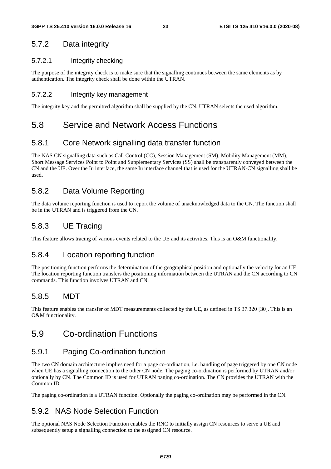### 5.7.2 Data integrity

#### 5.7.2.1 Integrity checking

The purpose of the integrity check is to make sure that the signalling continues between the same elements as by authentication. The integrity check shall be done within the UTRAN.

#### 5.7.2.2 Integrity key management

The integrity key and the permitted algorithm shall be supplied by the CN. UTRAN selects the used algorithm.

### 5.8 Service and Network Access Functions

### 5.8.1 Core Network signalling data transfer function

The NAS CN signalling data such as Call Control (CC), Session Management (SM), Mobility Management (MM), Short Message Services Point to Point and Supplementary Services (SS) shall be transparently conveyed between the CN and the UE. Over the Iu interface, the same Iu interface channel that is used for the UTRAN-CN signalling shall be used.

### 5.8.2 Data Volume Reporting

The data volume reporting function is used to report the volume of unacknowledged data to the CN. The function shall be in the UTRAN and is triggered from the CN.

### 5.8.3 UE Tracing

This feature allows tracing of various events related to the UE and its activities. This is an O&M functionality.

#### 5.8.4 Location reporting function

The positioning function performs the determination of the geographical position and optionally the velocity for an UE. The location reporting function transfers the positioning information between the UTRAN and the CN according to CN commands. This function involves UTRAN and CN.

### 5.8.5 MDT

This feature enables the transfer of MDT measurements collected by the UE, as defined in TS 37.320 [30]. This is an O&M functionality.

### 5.9 Co-ordination Functions

### 5.9.1 Paging Co-ordination function

The two CN domain architecture implies need for a page co-ordination, i.e. handling of page triggered by one CN node when UE has a signalling connection to the other CN node. The paging co-ordination is performed by UTRAN and/or optionally by CN. The Common ID is used for UTRAN paging co-ordination. The CN provides the UTRAN with the Common ID.

The paging co-ordination is a UTRAN function. Optionally the paging co-ordination may be performed in the CN.

### 5.9.2 NAS Node Selection Function

The optional NAS Node Selection Function enables the RNC to initially assign CN resources to serve a UE and subsequently setup a signalling connection to the assigned CN resource.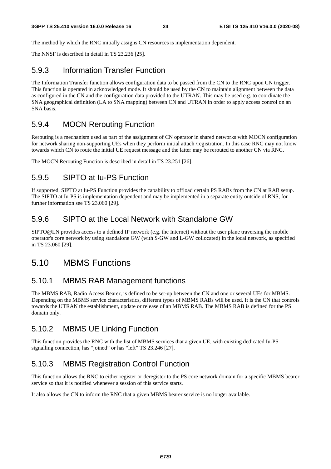The method by which the RNC initially assigns CN resources is implementation dependent.

The NNSF is described in detail in TS 23.236 [25].

#### 5.9.3 Information Transfer Function

The Information Transfer function allows configuration data to be passed from the CN to the RNC upon CN trigger. This function is operated in acknowledged mode. It should be used by the CN to maintain alignment between the data as configured in the CN and the configuration data provided to the UTRAN. This may be used e.g. to coordinate the SNA geographical definition (LA to SNA mapping) between CN and UTRAN in order to apply access control on an SNA basis.

#### 5.9.4 MOCN Rerouting Function

Rerouting is a mechanism used as part of the assignment of CN operator in shared networks with MOCN configuration for network sharing non-supporting UEs when they perform initial attach /registration. In this case RNC may not know towards which CN to route the initial UE request message and the latter may be rerouted to another CN via RNC.

The MOCN Rerouting Function is described in detail in TS 23.251 [26].

#### 5.9.5 SIPTO at Iu-PS Function

If supported, SIPTO at Iu-PS Function provides the capability to offload certain PS RABs from the CN at RAB setup. The SIPTO at Iu-PS is implementation dependent and may be implemented in a separate entity outside of RNS, for further information see TS 23.060 [29].

#### 5.9.6 SIPTO at the Local Network with Standalone GW

SIPTO@LN provides access to a defined IP network (e.g. the Internet) without the user plane traversing the mobile operator's core network by using standalone GW (with S-GW and L-GW collocated) in the local network, as specified in TS 23.060 [29].

### 5.10 MBMS Functions

#### 5.10.1 MBMS RAB Management functions

The MBMS RAB, Radio Access Bearer, is defined to be set-up between the CN and one or several UEs for MBMS. Depending on the MBMS service characteristics, different types of MBMS RABs will be used. It is the CN that controls towards the UTRAN the establishment, update or release of an MBMS RAB. The MBMS RAB is defined for the PS domain only.

#### 5.10.2 MBMS UE Linking Function

This function provides the RNC with the list of MBMS services that a given UE, with existing dedicated Iu-PS signalling connection, has "joined" or has "left" TS 23.246 [27].

### 5.10.3 MBMS Registration Control Function

This function allows the RNC to either register or deregister to the PS core network domain for a specific MBMS bearer service so that it is notified whenever a session of this service starts.

It also allows the CN to inform the RNC that a given MBMS bearer service is no longer available.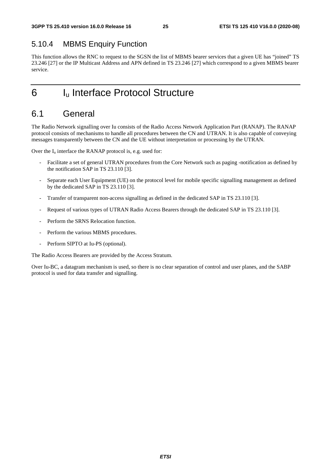### 5.10.4 MBMS Enquiry Function

This function allows the RNC to request to the SGSN the list of MBMS bearer services that a given UE has "joined" TS 23.246 [27] or the IP Multicast Address and APN defined in TS 23.246 [27] which correspond to a given MBMS bearer service.

## 6 Iu Interface Protocol Structure

### 6.1 General

The Radio Network signalling over Iu consists of the Radio Access Network Application Part (RANAP). The RANAP protocol consists of mechanisms to handle all procedures between the CN and UTRAN. It is also capable of conveying messages transparently between the CN and the UE without interpretation or processing by the UTRAN.

Over the  $I_u$  interface the RANAP protocol is, e.g. used for:

- Facilitate a set of general UTRAN procedures from the Core Network such as paging -notification as defined by the notification SAP in TS 23.110 [3].
- Separate each User Equipment (UE) on the protocol level for mobile specific signalling management as defined by the dedicated SAP in TS 23.110 [3].
- Transfer of transparent non-access signalling as defined in the dedicated SAP in TS 23.110 [3].
- Request of various types of UTRAN Radio Access Bearers through the dedicated SAP in TS 23.110 [3].
- Perform the SRNS Relocation function.
- Perform the various MBMS procedures.
- Perform SIPTO at Iu-PS (optional).

The Radio Access Bearers are provided by the Access Stratum.

Over Iu-BC, a datagram mechanism is used, so there is no clear separation of control and user planes, and the SABP protocol is used for data transfer and signalling.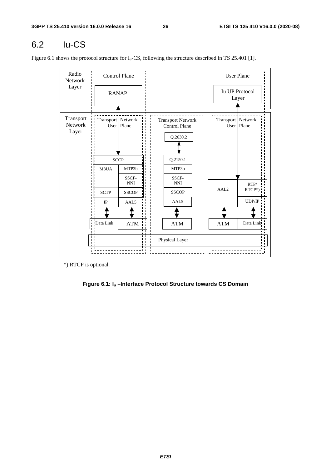## 6.2 Iu-CS

Figure 6.1 shows the protocol structure for  $I_u$ -CS, following the structure described in TS 25.401 [1].

| Radio<br>Network              |                                   | <b>Control Plane</b> |              |                                                              |                                |                             | <b>User Plane</b>              |
|-------------------------------|-----------------------------------|----------------------|--------------|--------------------------------------------------------------|--------------------------------|-----------------------------|--------------------------------|
| Layer                         | <b>RANAP</b>                      |                      |              |                                                              |                                |                             | <b>Iu UP Protocol</b><br>Layer |
| Transport<br>Network<br>Layer | Transport   Network<br>User       | Plane                |              | <b>Transport Network</b><br><b>Control Plane</b><br>Q.2630.2 |                                | Transport   Network<br>User | Plane                          |
|                               |                                   | <b>SCCP</b>          |              | Q.2150.1                                                     |                                |                             |                                |
|                               | M3UA                              | MTP3b                |              | MTP3b                                                        |                                |                             |                                |
|                               |                                   | SSCF-<br><b>NNI</b>  |              | SSCF-<br>$\mathbf{NNI}$                                      |                                |                             | RTP/                           |
|                               | <b>SCTP</b>                       | <b>SSCOP</b>         |              | <b>SSCOP</b>                                                 |                                | AAL <sub>2</sub>            | RTCP*)                         |
|                               | $\rm IP$                          | AAL5                 |              | AAL <sub>5</sub>                                             |                                |                             | UDP/IP                         |
|                               |                                   |                      |              |                                                              |                                |                             |                                |
|                               | Data Link                         | <b>ATM</b>           |              | ATM                                                          |                                | <b>ATM</b>                  | Data Link                      |
|                               | . .<br>$\blacksquare$<br><b>I</b> |                      | $\mathbf{I}$ | Physical Layer                                               | $\mathbf{1}$<br>$\blacksquare$ |                             |                                |
|                               |                                   |                      |              |                                                              |                                |                             |                                |

\*) RTCP is optional.

**Figure 6.1: Iu –Interface Protocol Structure towards CS Domain**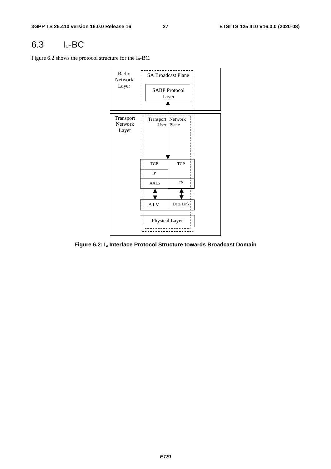### 6.3 Iu-BC

Figure 6.2 shows the protocol structure for the Iu-BC.



**Figure 6.2: Iu Interface Protocol Structure towards Broadcast Domain**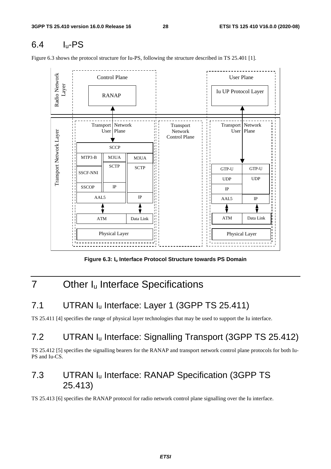## 6.4 Iu-PS

Figure 6.3 shows the protocol structure for Iu-PS, following the structure described in TS 25.401 [1].



**Figure 6.3: Iu Interface Protocol Structure towards PS Domain** 

## 7 Other I<sub>u</sub> Interface Specifications

## 7.1 UTRAN I<sub>u</sub> Interface: Layer 1 (3GPP TS 25.411)

TS 25.411 [4] specifies the range of physical layer technologies that may be used to support the Iu interface.

## 7.2 UTRAN Iu Interface: Signalling Transport (3GPP TS 25.412)

TS 25.412 [5] specifies the signalling bearers for the RANAP and transport network control plane protocols for both Iu-PS and Iu-CS.

## 7.3 UTRAN Iu Interface: RANAP Specification (3GPP TS 25.413)

TS 25.413 [6] specifies the RANAP protocol for radio network control plane signalling over the Iu interface.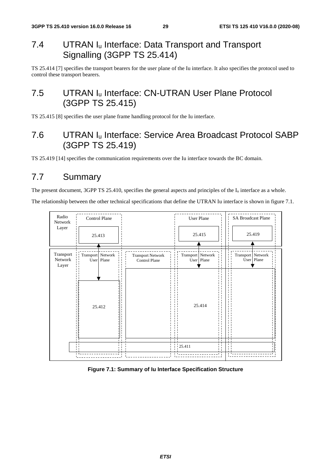## 7.4 UTRAN Iu Interface: Data Transport and Transport Signalling (3GPP TS 25.414)

TS 25.414 [7] specifies the transport bearers for the user plane of the Iu interface. It also specifies the protocol used to control these transport bearers.

## 7.5 UTRAN Iu Interface: CN-UTRAN User Plane Protocol (3GPP TS 25.415)

TS 25.415 [8] specifies the user plane frame handling protocol for the Iu interface.

## 7.6 UTRAN Iu Interface: Service Area Broadcast Protocol SABP (3GPP TS 25.419)

TS 25.419 [14] specifies the communication requirements over the Iu interface towards the BC domain.

## 7.7 Summary

The present document, 3GPP TS 25.410, specifies the general aspects and principles of the  $I_u$  interface as a whole.

The relationship between the other technical specifications that define the UTRAN Iu interface is shown in figure 7.1.



#### **Figure 7.1: Summary of Iu Interface Specification Structure**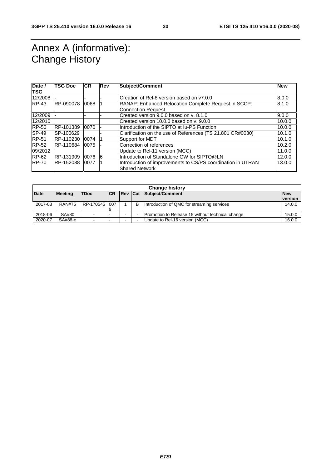## Annex A (informative): Change History

| Date /<br><b>TSG</b> | TSG Doc   | <b>CR</b> | Rev | <b>Subject/Comment</b>                                                               | <b>New</b> |
|----------------------|-----------|-----------|-----|--------------------------------------------------------------------------------------|------------|
| 12/2008              |           |           |     | Creation of Rel-8 version based on y7.0.0                                            | 8.0.0      |
| $RP-43$              | RP-090078 | 0068      |     | RANAP: Enhanced Relocation Complete Request in SCCP:                                 | 8.1.0      |
|                      |           |           |     | <b>Connection Request</b>                                                            |            |
| 12/2009              |           |           |     | Created version 9.0.0 based on y. 8.1.0                                              | 9.0.0      |
| 12/2010              |           |           |     | Created version 10.0.0 based on y. 9.0.0                                             | 10.0.0     |
| <b>RP-50</b>         | RP-101389 | 0070      |     | Introduction of the SIPTO at Iu-PS Function                                          | 10.0.0     |
| SP-49                | SP-100629 |           |     | Clarification on the use of References (TS 21.801 CR#0030)                           | 10.1.0     |
| <b>RP-51</b>         | RP-110230 | 0074      |     | Support for MDT                                                                      | 10.1.0     |
| <b>RP-52</b>         | RP-110684 | 0075      |     | Correction of references                                                             | 10.2.0     |
| 09/2012              |           |           |     | Update to Rel-11 version (MCC)                                                       | 11.0.0     |
| $RP-62$              | RP-131909 | 0076      | 16  | Introduction of Standalone GW for SIPTO@LN                                           | 12.0.0     |
| <b>RP-70</b>         | RP-152088 | 0077      |     | Introduction of improvements to CS/PS coordination in UTRAN<br><b>Shared Network</b> | 13.0.0     |

|             | <b>Change history</b> |                          |            |                |   |                                                  |            |  |  |  |
|-------------|-----------------------|--------------------------|------------|----------------|---|--------------------------------------------------|------------|--|--|--|
| <b>Date</b> | <b>Meeting</b>        | <b>TDoc</b>              | <b>ICR</b> | <b>Rev Cat</b> |   | Subject/Comment                                  | <b>New</b> |  |  |  |
|             |                       |                          |            |                |   |                                                  | version    |  |  |  |
| 2017-03     | <b>RAN#75</b>         | RP-170545 1007           |            |                | В | Introduction of QMC for streaming services       | 14.0.0     |  |  |  |
|             |                       |                          |            |                |   |                                                  |            |  |  |  |
| 2018-06     | SA#80                 |                          |            |                |   | Promotion to Release 15 without technical change |            |  |  |  |
| 2020-07     | SA#88-e               | $\overline{\phantom{0}}$ |            |                |   | Update to Rel-16 version (MCC)                   | 16.0.0     |  |  |  |